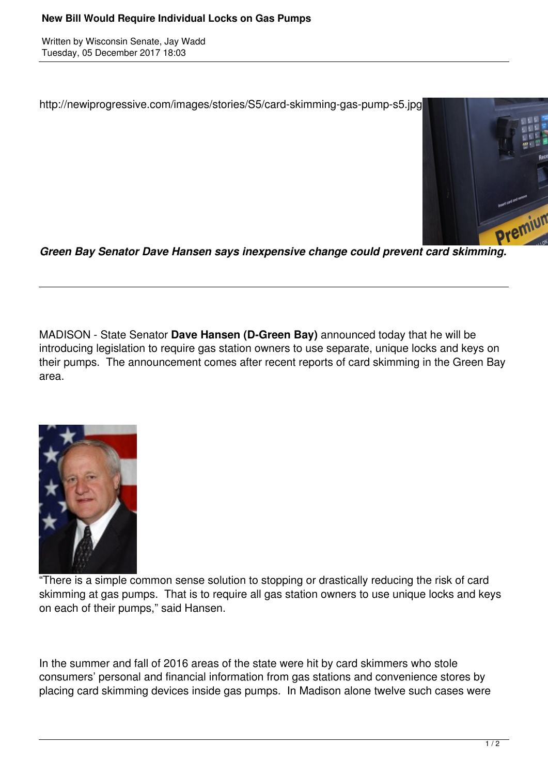Written by Wisconsin Senate, Jay Wadd Tuesday, 05 December 2017 18:03

http://newiprogressive.com/images/stories/S5/card-skimming-gas-pump-s5.jpg



*Green Bay Senator Dave Hansen says inexpensive change could prevent card skimming.*

MADISON - State Senator **Dave Hansen (D-Green Bay)** announced today that he will be introducing legislation to require gas station owners to use separate, unique locks and keys on their pumps. The announcement comes after recent reports of card skimming in the Green Bay area.



"There is a simple common sense solution to stopping or drastically reducing the risk of card skimming at gas pumps. That is to require all gas station owners to use unique locks and keys on each of their pumps," said Hansen.

In the summer and fall of 2016 areas of the state were hit by card skimmers who stole consumers' personal and financial information from gas stations and convenience stores by placing card skimming devices inside gas pumps. In Madison alone twelve such cases were